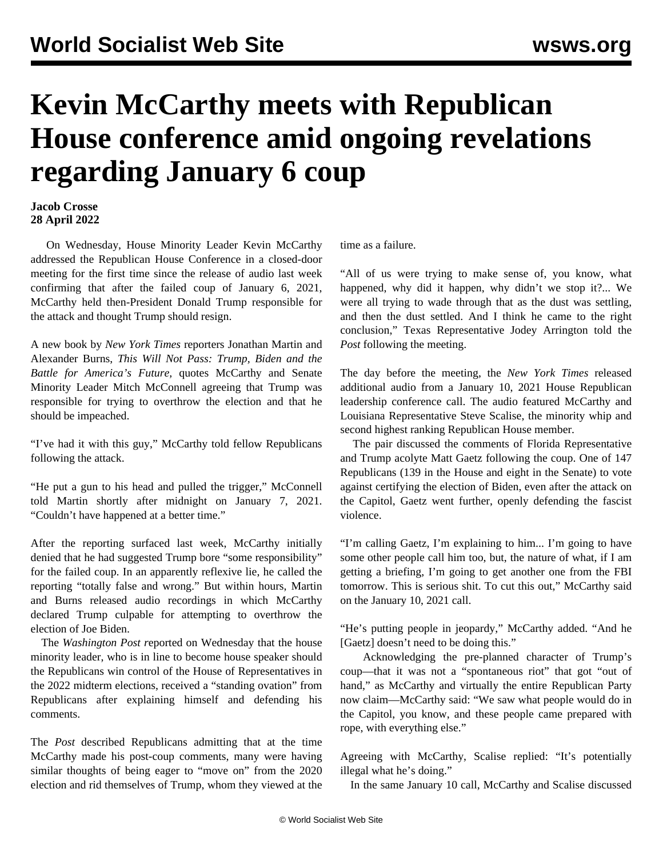## **Kevin McCarthy meets with Republican House conference amid ongoing revelations regarding January 6 coup**

## **Jacob Crosse 28 April 2022**

 On Wednesday, House Minority Leader Kevin McCarthy addressed the Republican House Conference in a closed-door meeting for the first time since the release of audio last week confirming that after the failed coup of January 6, 2021, McCarthy held then-President Donald Trump responsible for the attack and thought Trump should resign.

A new book by *New York Times* reporters Jonathan Martin and Alexander Burns, *This Will Not Pass: Trump, Biden and the Battle for America's Future,* quotes McCarthy and Senate Minority Leader Mitch McConnell agreeing that Trump was responsible for trying to overthrow the election and that he should be impeached.

"I've had it with this guy," McCarthy told fellow Republicans following the attack.

"He put a gun to his head and pulled the trigger," McConnell told Martin shortly after midnight on January 7, 2021. "Couldn't have happened at a better time."

After the reporting surfaced last week, McCarthy initially denied that he had suggested Trump bore "some responsibility" for the failed coup. In an apparently reflexive lie, he called the reporting "totally false and wrong." But within hours, Martin and Burns released audio recordings in which McCarthy declared Trump culpable for attempting to overthrow the election of Joe Biden.

 The *Washington Post r*eported on Wednesday that the house minority leader, who is in line to become house speaker should the Republicans win control of the House of Representatives in the 2022 midterm elections, received a "standing ovation" from Republicans after explaining himself and defending his comments.

The *Post* described Republicans admitting that at the time McCarthy made his post-coup comments, many were having similar thoughts of being eager to "move on" from the 2020 election and rid themselves of Trump, whom they viewed at the time as a failure.

"All of us were trying to make sense of, you know, what happened, why did it happen, why didn't we stop it?... We were all trying to wade through that as the dust was settling, and then the dust settled. And I think he came to the right conclusion," Texas Representative Jodey Arrington told the *Post* following the meeting.

The day before the meeting, the *New York Times* released additional audio from a January 10, 2021 House Republican leadership conference call. The audio featured McCarthy and Louisiana Representative Steve Scalise, the minority whip and second highest ranking Republican House member.

 The pair discussed the comments of Florida Representative and Trump acolyte Matt Gaetz following the coup. One of 147 Republicans (139 in the House and eight in the Senate) to vote against certifying the election of Biden, even after the attack on the Capitol, Gaetz went further, openly defending the fascist violence.

"I'm calling Gaetz, I'm explaining to him... I'm going to have some other people call him too, but, the nature of what, if I am getting a briefing, I'm going to get another one from the FBI tomorrow. This is serious shit. To cut this out," McCarthy said on the January 10, 2021 call.

"He's putting people in jeopardy," McCarthy added. "And he [Gaetz] doesn't need to be doing this."

 Acknowledging the pre-planned character of Trump's coup—that it was not a "spontaneous riot" that got "out of hand," as McCarthy and virtually the entire Republican Party now claim—McCarthy said: "We saw what people would do in the Capitol, you know, and these people came prepared with rope, with everything else."

Agreeing with McCarthy, Scalise replied: "It's potentially illegal what he's doing."

In the same January 10 call, McCarthy and Scalise discussed